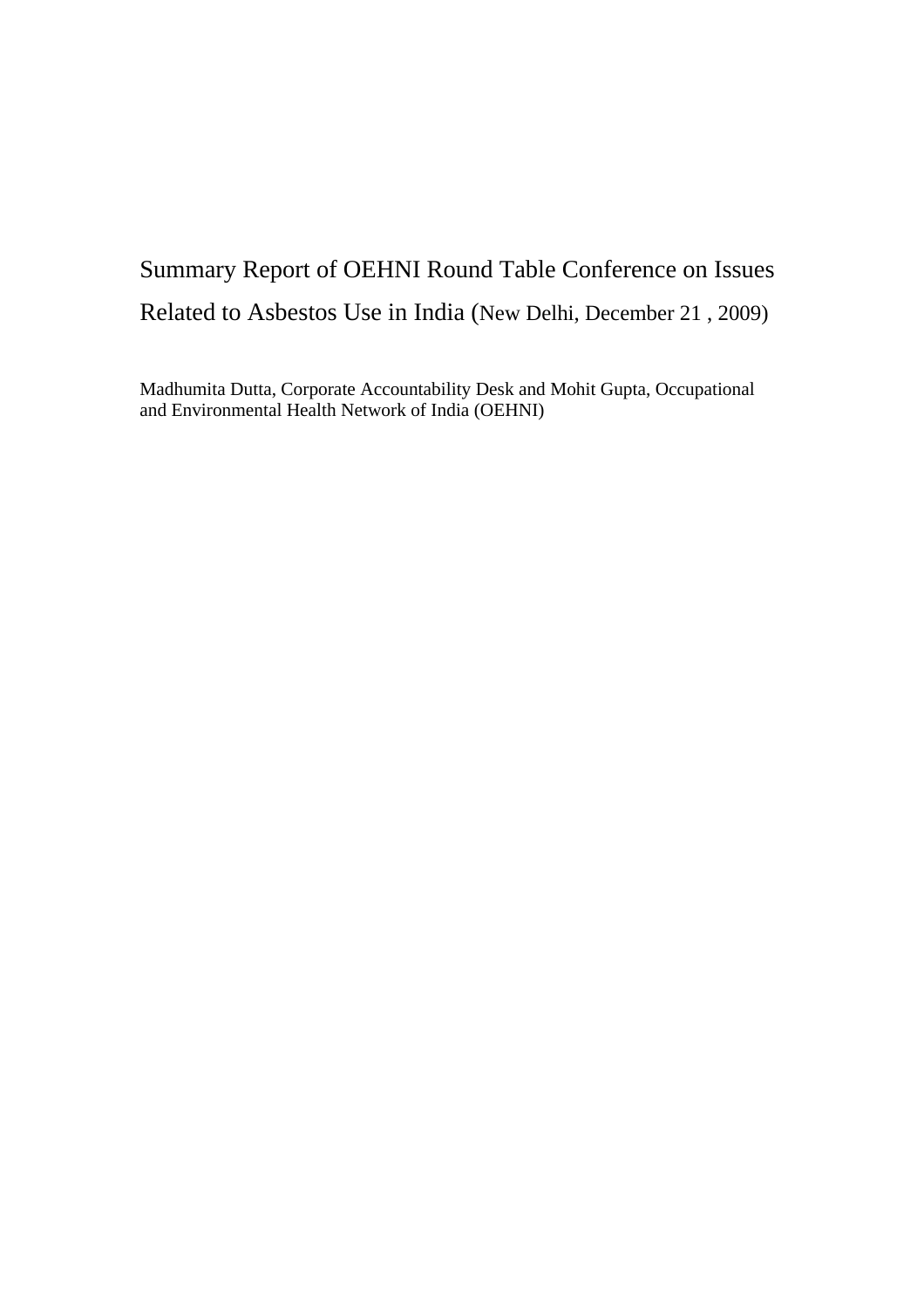# Summary Report of OEHNI Round Table Conference on Issues Related to Asbestos Use in India (New Delhi, December 21 , 2009)

Madhumita Dutta, Corporate Accountability Desk and Mohit Gupta, Occupational and Environmental Health Network of India (OEHNI)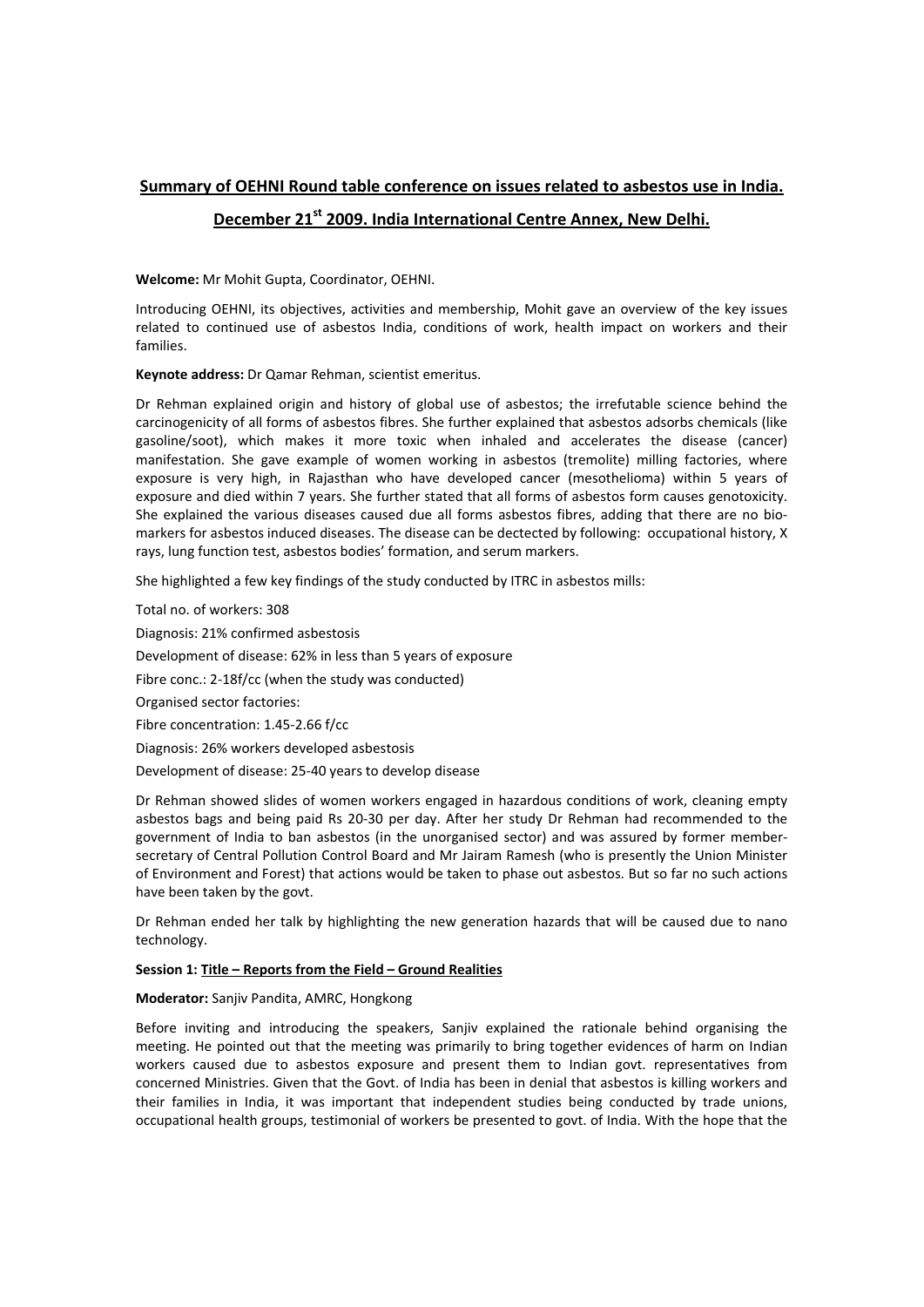# **Summary of OEHNI Round table conference on issues related to asbestos use in India. December 21st 2009. India International Centre Annex, New Delhi.**

**Welcome:** Mr Mohit Gupta, Coordinator, OEHNI.

Introducing OEHNI, its objectives, activities and membership, Mohit gave an overview of the key issues related to continued use of asbestos India, conditions of work, health impact on workers and their families.

**Keynote address:** Dr Qamar Rehman, scientist emeritus.

Dr Rehman explained origin and history of global use of asbestos; the irrefutable science behind the carcinogenicity of all forms of asbestos fibres. She further explained that asbestos adsorbs chemicals (like gasoline/soot), which makes it more toxic when inhaled and accelerates the disease (cancer) manifestation. She gave example of women working in asbestos (tremolite) milling factories, where exposure is very high, in Rajasthan who have developed cancer (mesothelioma) within 5 years of exposure and died within 7 years. She further stated that all forms of asbestos form causes genotoxicity. She explained the various diseases caused due all forms asbestos fibres, adding that there are no biomarkers for asbestos induced diseases. The disease can be dectected by following: occupational history, X rays, lung function test, asbestos bodies' formation, and serum markers.

She highlighted a few key findings of the study conducted by ITRC in asbestos mills:

Total no. of workers: 308 Diagnosis: 21% confirmed asbestosis Development of disease: 62% in less than 5 years of exposure Fibre conc.: 2-18f/cc (when the study was conducted) Organised sector factories: Fibre concentration: 1.45‐2.66 f/cc Diagnosis: 26% workers developed asbestosis Development of disease: 25‐40 years to develop disease

Dr Rehman showed slides of women workers engaged in hazardous conditions of work, cleaning empty asbestos bags and being paid Rs 20‐30 per day. After her study Dr Rehman had recommended to the government of India to ban asbestos (in the unorganised sector) and was assured by former member‐ secretary of Central Pollution Control Board and Mr Jairam Ramesh (who is presently the Union Minister of Environment and Forest) that actions would be taken to phase out asbestos. But so far no such actions have been taken by the govt.

Dr Rehman ended her talk by highlighting the new generation hazards that will be caused due to nano technology.

## **Session 1: Title – Reports from the Field – Ground Realities**

**Moderator:** Sanjiv Pandita, AMRC, Hongkong

Before inviting and introducing the speakers, Sanjiv explained the rationale behind organising the meeting. He pointed out that the meeting was primarily to bring together evidences of harm on Indian workers caused due to asbestos exposure and present them to Indian govt. representatives from concerned Ministries. Given that the Govt. of India has been in denial that asbestos is killing workers and their families in India, it was important that independent studies being conducted by trade unions, occupational health groups, testimonial of workers be presented to govt. of India. With the hope that the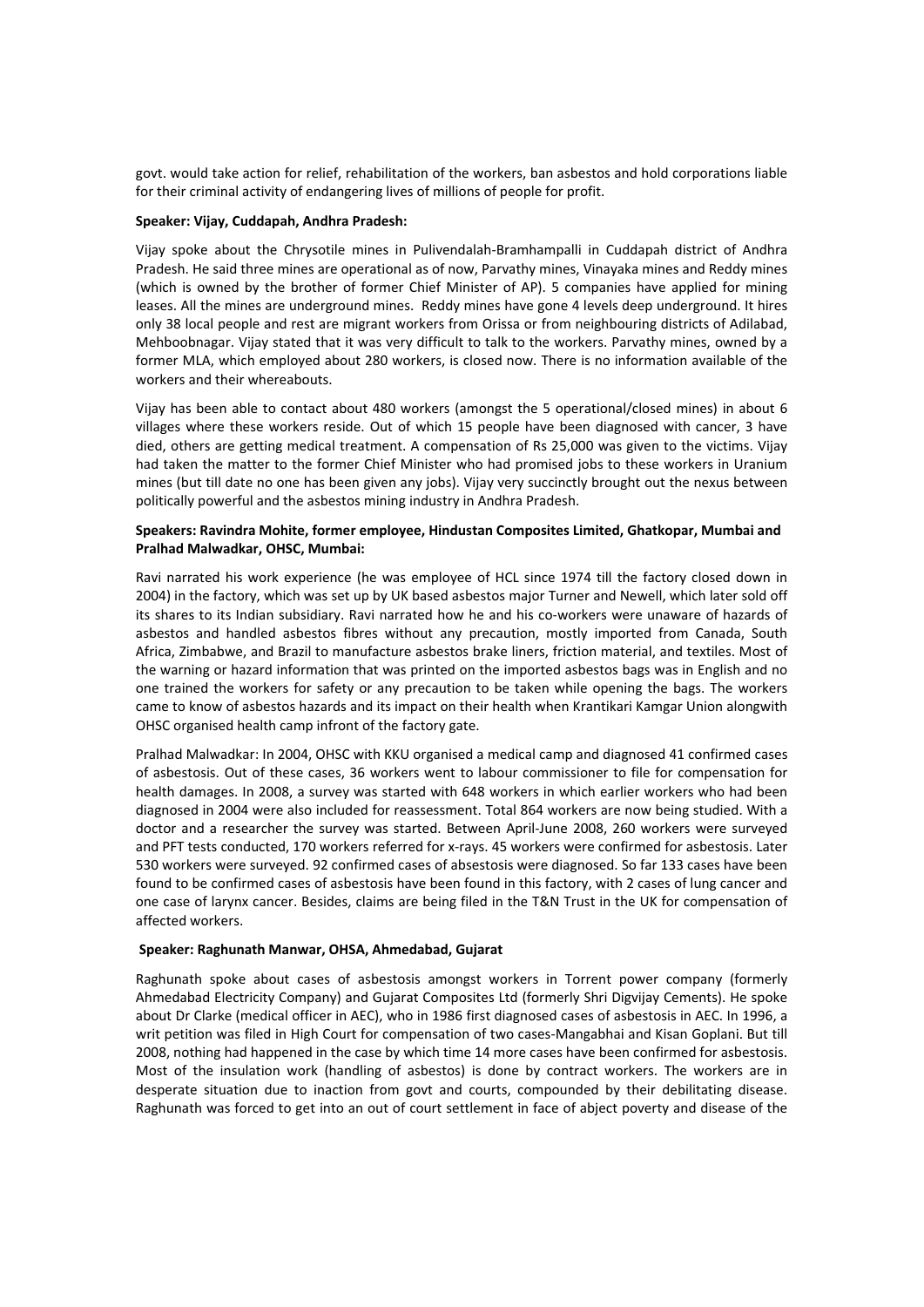govt. would take action for relief, rehabilitation of the workers, ban asbestos and hold corporations liable for their criminal activity of endangering lives of millions of people for profit.

#### **Speaker: Vijay, Cuddapah, Andhra Pradesh:**

Vijay spoke about the Chrysotile mines in Pulivendalah‐Bramhampalli in Cuddapah district of Andhra Pradesh. He said three mines are operational as of now, Parvathy mines, Vinayaka mines and Reddy mines (which is owned by the brother of former Chief Minister of AP). 5 companies have applied for mining leases. All the mines are underground mines. Reddy mines have gone 4 levels deep underground. It hires only 38 local people and rest are migrant workers from Orissa or from neighbouring districts of Adilabad, Mehboobnagar. Vijay stated that it was very difficult to talk to the workers. Parvathy mines, owned by a former MLA, which employed about 280 workers, is closed now. There is no information available of the workers and their whereabouts.

Vijay has been able to contact about 480 workers (amongst the 5 operational/closed mines) in about 6 villages where these workers reside. Out of which 15 people have been diagnosed with cancer, 3 have died, others are getting medical treatment. A compensation of Rs 25,000 was given to the victims. Vijay had taken the matter to the former Chief Minister who had promised jobs to these workers in Uranium mines (but till date no one has been given any jobs). Vijay very succinctly brought out the nexus between politically powerful and the asbestos mining industry in Andhra Pradesh.

#### **Speakers: Ravindra Mohite, former employee, Hindustan Composites Limited, Ghatkopar, Mumbai and Pralhad Malwadkar, OHSC, Mumbai:**

Ravi narrated his work experience (he was employee of HCL since 1974 till the factory closed down in 2004) in the factory, which was set up by UK based asbestos major Turner and Newell, which later sold off its shares to its Indian subsidiary. Ravi narrated how he and his co-workers were unaware of hazards of asbestos and handled asbestos fibres without any precaution, mostly imported from Canada, South Africa, Zimbabwe, and Brazil to manufacture asbestos brake liners, friction material, and textiles. Most of the warning or hazard information that was printed on the imported asbestos bags was in English and no one trained the workers for safety or any precaution to be taken while opening the bags. The workers came to know of asbestos hazards and its impact on their health when Krantikari Kamgar Union alongwith OHSC organised health camp infront of the factory gate.

Pralhad Malwadkar: In 2004, OHSC with KKU organised a medical camp and diagnosed 41 confirmed cases of asbestosis. Out of these cases, 36 workers went to labour commissioner to file for compensation for health damages. In 2008, a survey was started with 648 workers in which earlier workers who had been diagnosed in 2004 were also included for reassessment. Total 864 workers are now being studied. With a doctor and a researcher the survey was started. Between April‐June 2008, 260 workers were surveyed and PFT tests conducted, 170 workers referred for x-rays. 45 workers were confirmed for asbestosis. Later 530 workers were surveyed. 92 confirmed cases of absestosis were diagnosed. So far 133 cases have been found to be confirmed cases of asbestosis have been found in this factory, with 2 cases of lung cancer and one case of larynx cancer. Besides, claims are being filed in the T&N Trust in the UK for compensation of affected workers.

#### **Speaker: Raghunath Manwar, OHSA, Ahmedabad, Gujarat**

Raghunath spoke about cases of asbestosis amongst workers in Torrent power company (formerly Ahmedabad Electricity Company) and Gujarat Composites Ltd (formerly Shri Digvijay Cements). He spoke about Dr Clarke (medical officer in AEC), who in 1986 first diagnosed cases of asbestosis in AEC. In 1996, a writ petition was filed in High Court for compensation of two cases‐Mangabhai and Kisan Goplani. But till 2008, nothing had happened in the case by which time 14 more cases have been confirmed for asbestosis. Most of the insulation work (handling of asbestos) is done by contract workers. The workers are in desperate situation due to inaction from govt and courts, compounded by their debilitating disease. Raghunath was forced to get into an out of court settlement in face of abject poverty and disease of the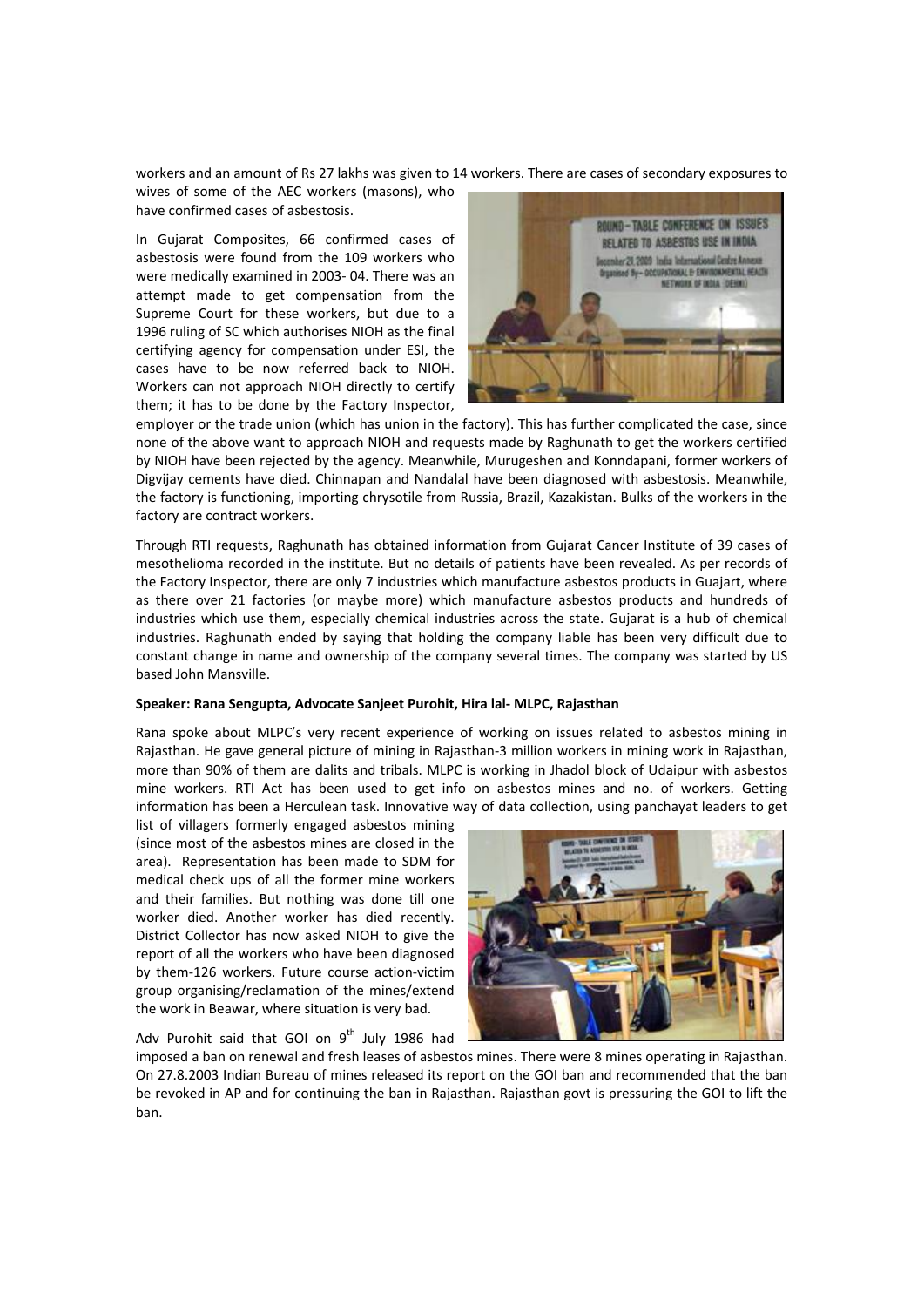workers and an amount of Rs 27 lakhs was given to 14 workers. There are cases of secondary exposures to

wives of some of the AEC workers (masons), who have confirmed cases of asbestosis.

In Gujarat Composites, 66 confirmed cases of asbestosis were found from the 109 workers who were medically examined in 2003‐ 04. There was an attempt made to get compensation from the Supreme Court for these workers, but due to a 1996 ruling of SC which authorises NIOH as the final certifying agency for compensation under ESI, the cases have to be now referred back to NIOH. Workers can not approach NIOH directly to certify them; it has to be done by the Factory Inspector,



employer or the trade union (which has union in the factory). This has further complicated the case, since none of the above want to approach NIOH and requests made by Raghunath to get the workers certified by NIOH have been rejected by the agency. Meanwhile, Murugeshen and Konndapani, former workers of Digvijay cements have died. Chinnapan and Nandalal have been diagnosed with asbestosis. Meanwhile, the factory is functioning, importing chrysotile from Russia, Brazil, Kazakistan. Bulks of the workers in the factory are contract workers.

Through RTI requests, Raghunath has obtained information from Gujarat Cancer Institute of 39 cases of mesothelioma recorded in the institute. But no details of patients have been revealed. As per records of the Factory Inspector, there are only 7 industries which manufacture asbestos products in Guajart, where as there over 21 factories (or maybe more) which manufacture asbestos products and hundreds of industries which use them, especially chemical industries across the state. Gujarat is a hub of chemical industries. Raghunath ended by saying that holding the company liable has been very difficult due to constant change in name and ownership of the company several times. The company was started by US based John Mansville.

## **Speaker: Rana Sengupta, Advocate Sanjeet Purohit, Hira lal‐ MLPC, Rajasthan**

Rana spoke about MLPC's very recent experience of working on issues related to asbestos mining in Rajasthan. He gave general picture of mining in Rajasthan‐3 million workers in mining work in Rajasthan, more than 90% of them are dalits and tribals. MLPC is working in Jhadol block of Udaipur with asbestos mine workers. RTI Act has been used to get info on asbestos mines and no. of workers. Getting information has been a Herculean task. Innovative way of data collection, using panchayat leaders to get

list of villagers formerly engaged asbestos mining (since most of the asbestos mines are closed in the area). Representation has been made to SDM for medical check ups of all the former mine workers and their families. But nothing was done till one worker died. Another worker has died recently. District Collector has now asked NIOH to give the report of all the workers who have been diagnosed by them‐126 workers. Future course action‐victim group organising/reclamation of the mines/extend the work in Beawar, where situation is very bad.

Adv Purohit said that GOI on  $9<sup>th</sup>$  July 1986 had



imposed a ban on renewal and fresh leases of asbestos mines. There were 8 mines operating in Rajasthan. On 27.8.2003 Indian Bureau of mines released its report on the GOI ban and recommended that the ban be revoked in AP and for continuing the ban in Rajasthan. Rajasthan govt is pressuring the GOI to lift the ban.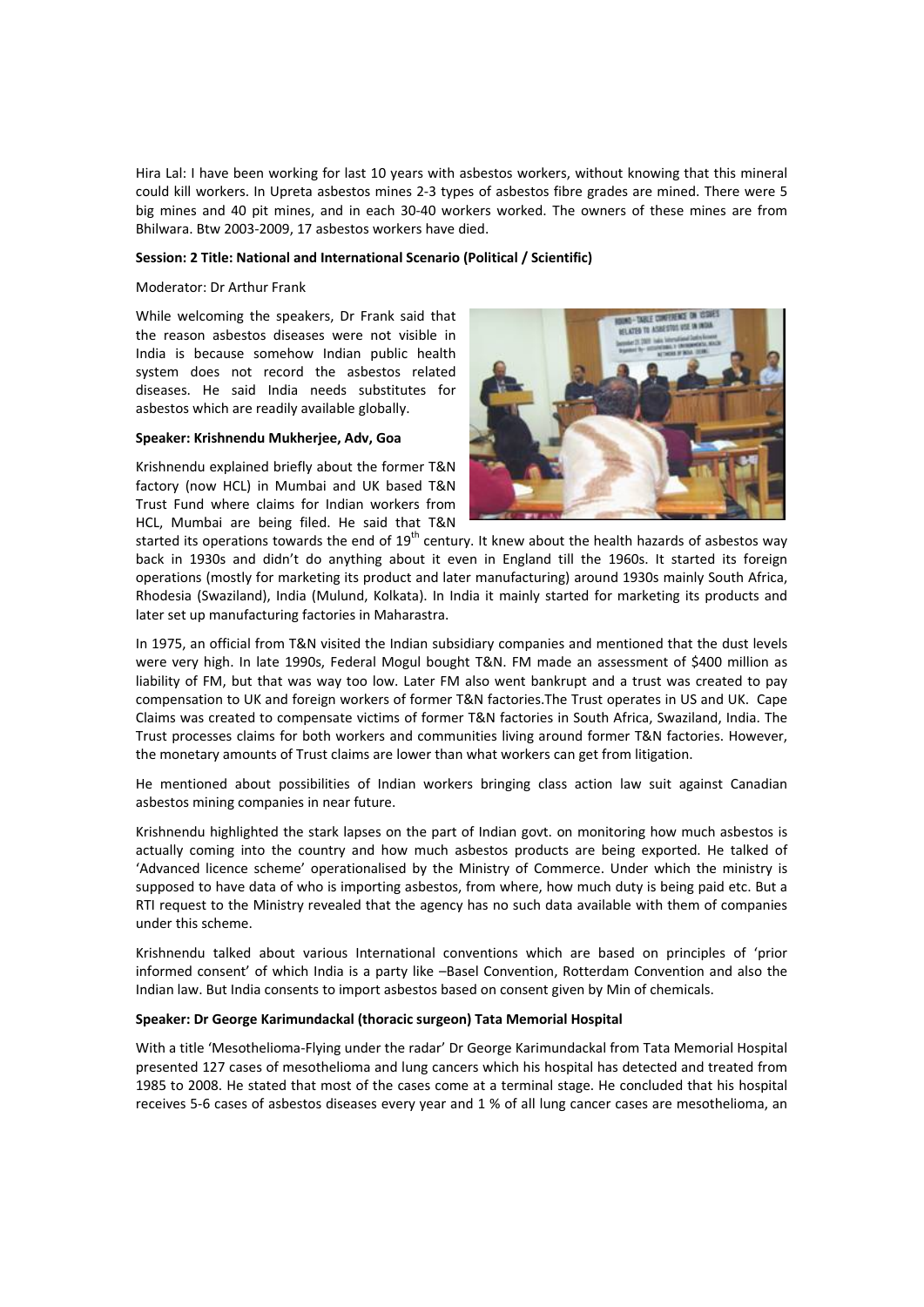Hira Lal: I have been working for last 10 years with asbestos workers, without knowing that this mineral could kill workers. In Upreta asbestos mines 2‐3 types of asbestos fibre grades are mined. There were 5 big mines and 40 pit mines, and in each 30-40 workers worked. The owners of these mines are from Bhilwara. Btw 2003‐2009, 17 asbestos workers have died.

#### **Session: 2 Title: National and International Scenario (Political / Scientific)**

#### Moderator: Dr Arthur Frank

While welcoming the speakers, Dr Frank said that the reason asbestos diseases were not visible in India is because somehow Indian public health system does not record the asbestos related diseases. He said India needs substitutes for asbestos which are readily available globally.

#### **Speaker: Krishnendu Mukherjee, Adv, Goa**

Krishnendu explained briefly about the former T&N factory (now HCL) in Mumbai and UK based T&N Trust Fund where claims for Indian workers from HCL, Mumbai are being filed. He said that T&N



started its operations towards the end of  $19<sup>th</sup>$  century. It knew about the health hazards of asbestos way back in 1930s and didn't do anything about it even in England till the 1960s. It started its foreign operations (mostly for marketing its product and later manufacturing) around 1930s mainly South Africa, Rhodesia (Swaziland), India (Mulund, Kolkata). In India it mainly started for marketing its products and later set up manufacturing factories in Maharastra.

In 1975, an official from T&N visited the Indian subsidiary companies and mentioned that the dust levels were very high. In late 1990s, Federal Mogul bought T&N. FM made an assessment of \$400 million as liability of FM, but that was way too low. Later FM also went bankrupt and a trust was created to pay compensation to UK and foreign workers of former T&N factories.The Trust operates in US and UK. Cape Claims was created to compensate victims of former T&N factories in South Africa, Swaziland, India. The Trust processes claims for both workers and communities living around former T&N factories. However, the monetary amounts of Trust claims are lower than what workers can get from litigation.

He mentioned about possibilities of Indian workers bringing class action law suit against Canadian asbestos mining companies in near future.

Krishnendu highlighted the stark lapses on the part of Indian govt. on monitoring how much asbestos is actually coming into the country and how much asbestos products are being exported. He talked of 'Advanced licence scheme' operationalised by the Ministry of Commerce. Under which the ministry is supposed to have data of who is importing asbestos, from where, how much duty is being paid etc. But a RTI request to the Ministry revealed that the agency has no such data available with them of companies under this scheme.

Krishnendu talked about various International conventions which are based on principles of 'prior informed consent' of which India is a party like –Basel Convention, Rotterdam Convention and also the Indian law. But India consents to import asbestos based on consent given by Min of chemicals.

#### **Speaker: Dr George Karimundackal (thoracic surgeon) Tata Memorial Hospital**

With a title 'Mesothelioma‐Flying under the radar' Dr George Karimundackal from Tata Memorial Hospital presented 127 cases of mesothelioma and lung cancers which his hospital has detected and treated from 1985 to 2008. He stated that most of the cases come at a terminal stage. He concluded that his hospital receives 5-6 cases of asbestos diseases every year and 1 % of all lung cancer cases are mesothelioma, an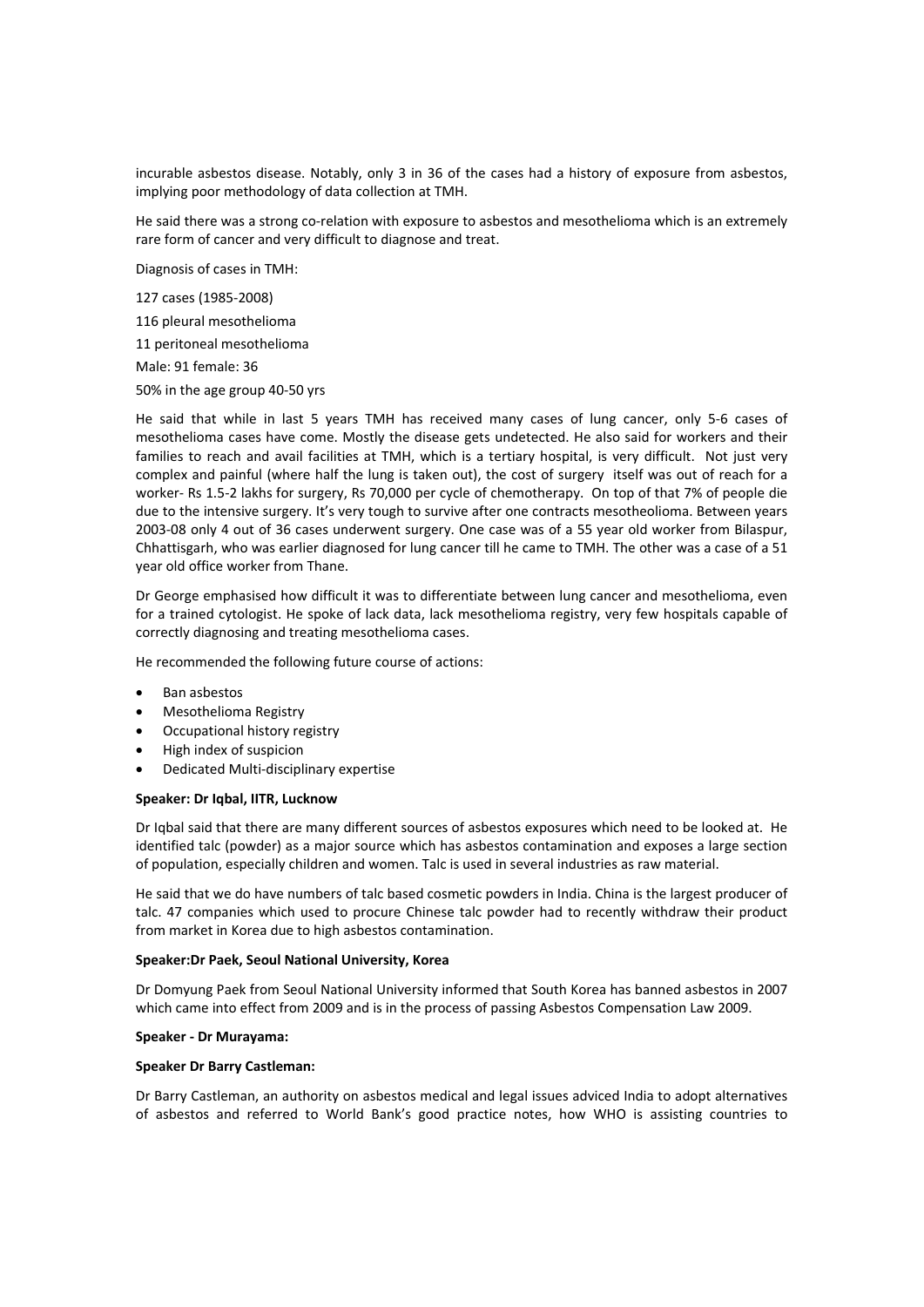incurable asbestos disease. Notably, only 3 in 36 of the cases had a history of exposure from asbestos, implying poor methodology of data collection at TMH.

He said there was a strong co-relation with exposure to asbestos and mesothelioma which is an extremely rare form of cancer and very difficult to diagnose and treat.

Diagnosis of cases in TMH:

 cases (1985‐2008) pleural mesothelioma peritoneal mesothelioma Male: 91 female: 36

50% in the age group 40‐50 yrs

He said that while in last 5 years TMH has received many cases of lung cancer, only 5‐6 cases of mesothelioma cases have come. Mostly the disease gets undetected. He also said for workers and their families to reach and avail facilities at TMH, which is a tertiary hospital, is very difficult. Not just very complex and painful (where half the lung is taken out), the cost of surgery itself was out of reach for a worker‐ Rs 1.5‐2 lakhs for surgery, Rs 70,000 per cycle of chemotherapy. On top of that 7% of people die due to the intensive surgery. It's very tough to survive after one contracts mesotheolioma. Between years 2003‐08 only 4 out of 36 cases underwent surgery. One case was of a 55 year old worker from Bilaspur, Chhattisgarh, who was earlier diagnosed for lung cancer till he came to TMH. The other was a case of a 51 year old office worker from Thane.

Dr George emphasised how difficult it was to differentiate between lung cancer and mesothelioma, even for a trained cytologist. He spoke of lack data, lack mesothelioma registry, very few hospitals capable of correctly diagnosing and treating mesothelioma cases.

He recommended the following future course of actions:

- Ban asbestos
- Mesothelioma Registry
- Occupational history registry
- High index of suspicion
- Dedicated Multi‐disciplinary expertise

#### **Speaker: Dr Iqbal, IITR, Lucknow**

Dr Iqbal said that there are many different sources of asbestos exposures which need to be looked at. He identified talc (powder) as a major source which has asbestos contamination and exposes a large section of population, especially children and women. Talc is used in several industries as raw material.

He said that we do have numbers of talc based cosmetic powders in India. China is the largest producer of talc. 47 companies which used to procure Chinese talc powder had to recently withdraw their product from market in Korea due to high asbestos contamination.

#### **Speaker:Dr Paek, Seoul National University, Korea**

Dr Domyung Paek from Seoul National University informed that South Korea has banned asbestos in 2007 which came into effect from 2009 and is in the process of passing Asbestos Compensation Law 2009.

#### **Speaker ‐ Dr Murayama:**

#### **Speaker Dr Barry Castleman:**

Dr Barry Castleman, an authority on asbestos medical and legal issues adviced India to adopt alternatives of asbestos and referred to World Bank's good practice notes, how WHO is assisting countries to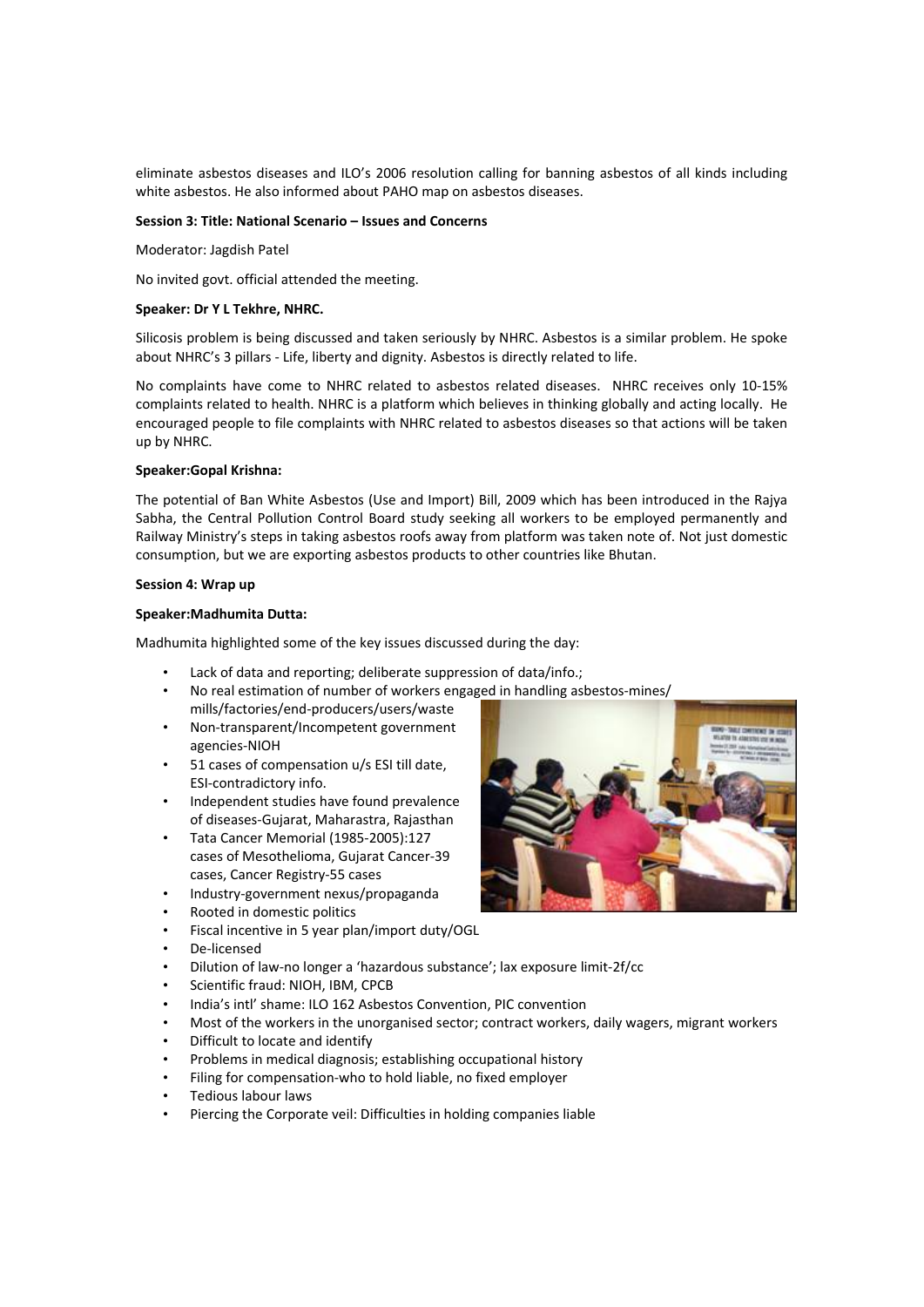eliminate asbestos diseases and ILO's 2006 resolution calling for banning asbestos of all kinds including white asbestos. He also informed about PAHO map on asbestos diseases.

#### **Session 3: Title: National Scenario – Issues and Concerns**

Moderator: Jagdish Patel

No invited govt. official attended the meeting.

#### **Speaker: Dr Y L Tekhre, NHRC.**

Silicosis problem is being discussed and taken seriously by NHRC. Asbestos is a similar problem. He spoke about NHRC's 3 pillars ‐ Life, liberty and dignity. Asbestos is directly related to life.

No complaints have come to NHRC related to asbestos related diseases. NHRC receives only 10‐15% complaints related to health. NHRC is a platform which believes in thinking globally and acting locally. He encouraged people to file complaints with NHRC related to asbestos diseases so that actions will be taken up by NHRC.

#### **Speaker:Gopal Krishna:**

The potential of Ban White Asbestos (Use and Import) Bill, 2009 which has been introduced in the Rajya Sabha, the Central Pollution Control Board study seeking all workers to be employed permanently and Railway Ministry's steps in taking asbestos roofs away from platform was taken note of. Not just domestic consumption, but we are exporting asbestos products to other countries like Bhutan.

#### **Session 4: Wrap up**

#### **Speaker:Madhumita Dutta:**

Madhumita highlighted some of the key issues discussed during the day:

- Lack of data and reporting; deliberate suppression of data/info.;
- No real estimation of number of workers engaged in handling asbestos-mines/ mills/factories/end‐producers/users/waste
- Non‐transparent/Incompetent government agencies‐NIOH
- 51 cases of compensation u/s ESI till date, ESI‐contradictory info.
- Independent studies have found prevalence of diseases‐Gujarat, Maharastra, Rajasthan
- Tata Cancer Memorial (1985‐2005):127 cases of Mesothelioma, Gujarat Cancer‐39 cases, Cancer Registry‐55 cases
- Industry‐government nexus/propaganda
- Rooted in domestic politics
- Fiscal incentive in 5 year plan/import duty/OGL
- De‐licensed
- Dilution of law‐no longer a 'hazardous substance'; lax exposure limit‐2f/cc
- Scientific fraud: NIOH, IBM, CPCB
- India's intl' shame: ILO 162 Asbestos Convention, PIC convention
- Most of the workers in the unorganised sector; contract workers, daily wagers, migrant workers
- Difficult to locate and identify
- Problems in medical diagnosis; establishing occupational history
- Filing for compensation‐who to hold liable, no fixed employer
- Tedious labour laws
- Piercing the Corporate veil: Difficulties in holding companies liable